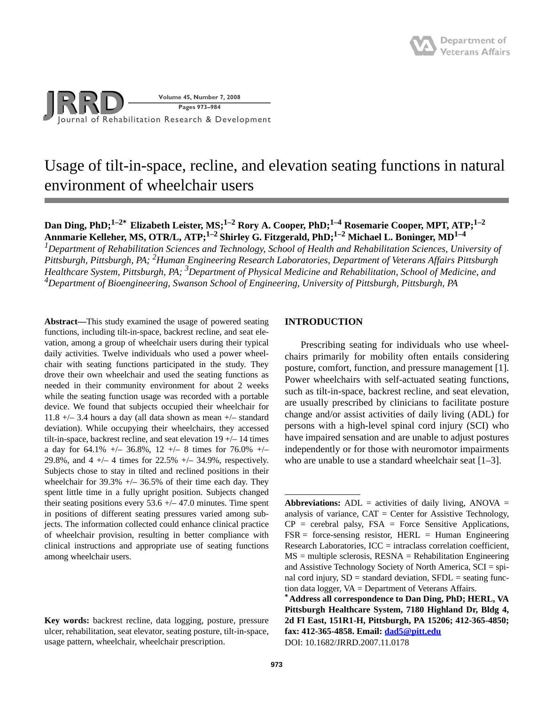

# Usage of tilt-in-space, recline, and elevation seating functions in natural environment of wheelchair users

# **Dan Ding, PhD;1–2\* Elizabeth Leister, MS;1–2 Rory A. Cooper, PhD;1–4 Rosemarie Cooper, MPT, ATP;1–2 Annmarie Kelleher, MS, OTR/L, ATP;1–2 Shirley G. Fitzgerald, PhD;1–2 Michael L. Boninger, MD1–4**

*1Department of Rehabilitation Sciences and Technology, School of Health and Rehabilitation Sciences, University of Pittsburgh, Pittsburgh, PA; 2 Human Engineering Research Laboratories, Department of Veterans Affairs Pittsburgh Healthcare System, Pittsburgh, PA; 3Department of Physical Medicine and Rehabilitation, School of Medicine, and 4 Department of Bioengineering, Swanson School of Engineering, University of Pittsburgh, Pittsburgh, PA*

**Abstract—**This study examined the usage of powered seating functions, including tilt-in-space, backrest recline, and seat elevation, among a group of wheelchair users during their typical daily activities. Twelve individuals who used a power wheelchair with seating functions participated in the study. They drove their own wheelchair and used the seating functions as needed in their community environment for about 2 weeks while the seating function usage was recorded with a portable device. We found that subjects occupied their wheelchair for 11.8  $+/-$  3.4 hours a day (all data shown as mean  $+/-$  standard deviation). While occupying their wheelchairs, they accessed tilt-in-space, backrest recline, and seat elevation 19 +/– 14 times a day for 64.1%  $+/- 36.8\%$ , 12  $+/- 8$  times for 76.0%  $+/-$ 29.8%, and 4 +/– 4 times for 22.5% +/– 34.9%, respectively. Subjects chose to stay in tilted and reclined positions in their wheelchair for  $39.3\% +/- 36.5\%$  of their time each day. They spent little time in a fully upright position. Subjects changed their seating positions every  $53.6 +/- 47.0$  minutes. Time spent in positions of different seating pressures varied among subjects. The information collected could enhance clinical practice of wheelchair provision, resulting in better compliance with clinical instructions and appropriate use of seating functions among wheelchair users.

# **INTRODUCTION**

Prescribing seating for individuals who use wheelchairs primarily for mobility often entails considering posture, comfort, function, and pressure management [1]. Power wheelchairs with self-actuated seating functions, such as tilt-in-space, backrest recline, and seat elevation, are usually prescribed by clinicians to facilitate posture change and/or assist activities of daily living (ADL) for persons with a high-level spinal cord injury (SCI) who have impaired sensation and are unable to adjust postures independently or for those with neuromotor impairments who are unable to use a standard wheelchair seat [1–3].

**Key words:** backrest recline, data logging, posture, pressure ulcer, rehabilitation, seat elevator, seating posture, tilt-in-space, usage pattern, wheelchair, wheelchair prescription.

**Abbreviations:**  $ADL =$  activities of daily living,  $ANOVA =$ analysis of variance,  $CAT = Center$  for Assistive Technology,  $CP =$  cerebral palsy,  $FSA =$  Force Sensitive Applications,  $FSR =$  force-sensing resistor, HERL = Human Engineering Research Laboratories,  $ICC = intraclass correlation coefficient$ ,  $MS =$  multiple sclerosis,  $RESNA =$  Rehabilitation Engineering and Assistive Technology Society of North America, SCI = spinal cord injury,  $SD =$  standard deviation,  $SFDL =$  seating function data logger, VA = Department of Veterans Affairs.

**<sup>\*</sup>Address all correspondence to Dan Ding, PhD; HERL, VA Pittsburgh Healthcare System, 7180 Highland Dr, Bldg 4, 2d Fl East, 151R1-H, Pittsburgh, PA 15206; 412-365-4850; fax: 412-365-4858. Email: dad5@pitt.edu** DOI: 10.1682/JRRD.2007.11.0178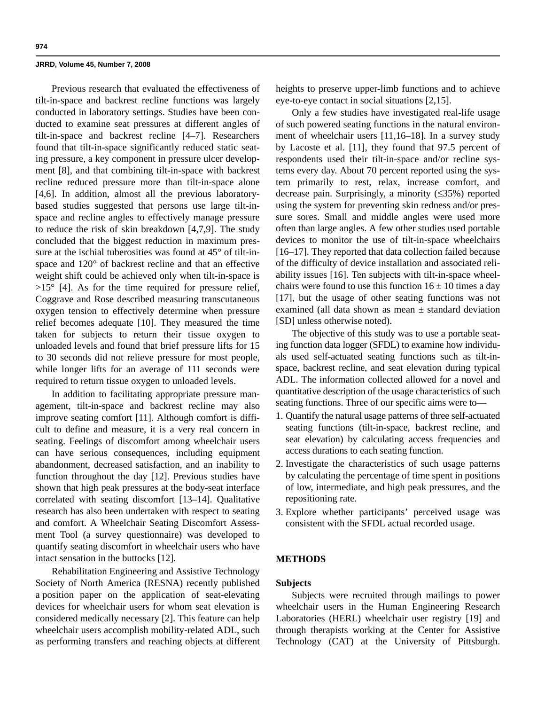Previous research that evaluated the effectiveness of tilt-in-space and backrest recline functions was largely conducted in laboratory settings. Studies have been conducted to examine seat pressures at different angles of tilt-in-space and backrest recline [4–7]. Researchers found that tilt-in-space significantly reduced static seating pressure, a key component in pressure ulcer development [8], and that combining tilt-in-space with backrest recline reduced pressure more than tilt-in-space alone [4,6]. In addition, almost all the previous laboratorybased studies suggested that persons use large tilt-inspace and recline angles to effectively manage pressure to reduce the risk of skin breakdown [4,7,9]. The study concluded that the biggest reduction in maximum pressure at the ischial tuberosities was found at 45° of tilt-inspace and 120° of backrest recline and that an effective weight shift could be achieved only when tilt-in-space is  $>15^{\circ}$  [4]. As for the time required for pressure relief, Coggrave and Rose described measuring transcutaneous oxygen tension to effectively determine when pressure relief becomes adequate [10]. They measured the time taken for subjects to return their tissue oxygen to unloaded levels and found that brief pressure lifts for 15 to 30 seconds did not relieve pressure for most people, while longer lifts for an average of 111 seconds were required to return tissue oxygen to unloaded levels.

In addition to facilitating appropriate pressure management, tilt-in-space and backrest recline may also improve seating comfort [11]. Although comfort is difficult to define and measure, it is a very real concern in seating. Feelings of discomfort among wheelchair users can have serious consequences, including equipment abandonment, decreased satisfaction, and an inability to function throughout the day [12]. Previous studies have shown that high peak pressures at the body-seat interface correlated with seating discomfort [13–14]. Qualitative research has also been undertaken with respect to seating and comfort. A Wheelchair Seating Discomfort Assessment Tool (a survey questionnaire) was developed to quantify seating discomfort in wheelchair users who have intact sensation in the buttocks [12].

Rehabilitation Engineering and Assistive Technology Society of North America (RESNA) recently published a position paper on the application of seat-elevating devices for wheelchair users for whom seat elevation is considered medically necessary [2]. This feature can help wheelchair users accomplish mobility-related ADL, such as performing transfers and reaching objects at different heights to preserve upper-limb functions and to achieve eye-to-eye contact in social situations [2,15].

Only a few studies have investigated real-life usage of such powered seating functions in the natural environment of wheelchair users [11,16–18]. In a survey study by Lacoste et al. [11], they found that 97.5 percent of respondents used their tilt-in-space and/or recline systems every day. About 70 percent reported using the system primarily to rest, relax, increase comfort, and decrease pain. Surprisingly, a minority (≤35%) reported using the system for preventing skin redness and/or pressure sores. Small and middle angles were used more often than large angles. A few other studies used portable devices to monitor the use of tilt-in-space wheelchairs [16–17]. They reported that data collection failed because of the difficulty of device installation and associated reliability issues [16]. Ten subjects with tilt-in-space wheelchairs were found to use this function  $16 \pm 10$  times a day [17], but the usage of other seating functions was not examined (all data shown as mean  $\pm$  standard deviation [SD] unless otherwise noted).

The objective of this study was to use a portable seating function data logger (SFDL) to examine how individuals used self-actuated seating functions such as tilt-inspace, backrest recline, and seat elevation during typical ADL. The information collected allowed for a novel and quantitative description of the usage characteristics of such seating functions. Three of our specific aims were to—

- 1. Quantify the natural usage patterns of three self-actuated seating functions (tilt-in-space, backrest recline, and seat elevation) by calculating access frequencies and access durations to each seating function.
- 2. Investigate the characteristics of such usage patterns by calculating the percentage of time spent in positions of low, intermediate, and high peak pressures, and the repositioning rate.
- 3. Explore whether participants' perceived usage was consistent with the SFDL actual recorded usage.

# **METHODS**

# **Subjects**

Subjects were recruited through mailings to power wheelchair users in the Human Engineering Research Laboratories (HERL) wheelchair user registry [19] and through therapists working at the Center for Assistive Technology (CAT) at the University of Pittsburgh.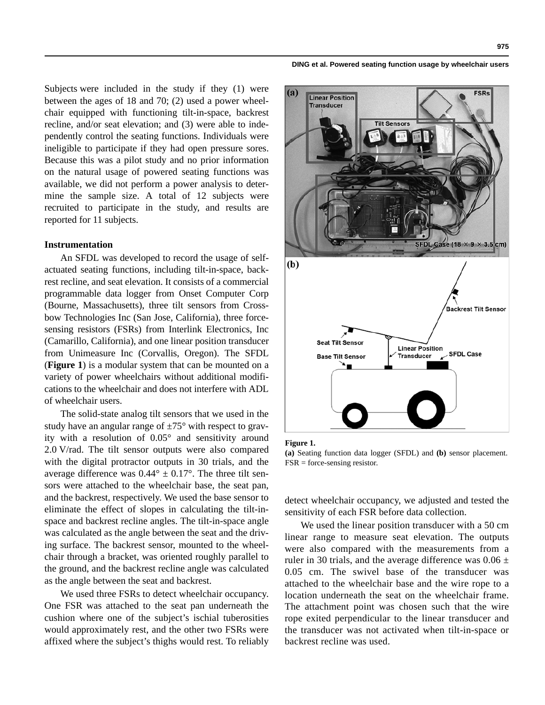Subjects were included in the study if they (1) were between the ages of 18 and 70; (2) used a power wheelchair equipped with functioning tilt-in-space, backrest recline, and/or seat elevation; and (3) were able to independently control the seating functions. Individuals were ineligible to participate if they had open pressure sores. Because this was a pilot study and no prior information on the natural usage of powered seating functions was available, we did not perform a power analysis to determine the sample size. A total of 12 subjects were recruited to participate in the study, and results are reported for 11 subjects.

# **Instrumentation**

An SFDL was developed to record the usage of selfactuated seating functions, including tilt-in-space, backrest recline, and seat elevation. It consists of a commercial programmable data logger from Onset Computer Corp (Bourne, Massachusetts), three tilt sensors from Crossbow Technologies Inc (San Jose, California), three forcesensing resistors (FSRs) from Interlink Electronics, Inc (Camarillo, California), and one linear position transducer from Unimeasure Inc (Corvallis, Oregon). The SFDL (**Figure 1**) is a modular system that can be mounted on a variety of power wheelchairs without additional modifications to the wheelchair and does not interfere with ADL of wheelchair users.

The solid-state analog tilt sensors that we used in the study have an angular range of  $\pm 75^{\circ}$  with respect to gravity with a resolution of 0.05° and sensitivity around 2.0 V/rad. The tilt sensor outputs were also compared with the digital protractor outputs in 30 trials, and the average difference was  $0.44^{\circ} \pm 0.17^{\circ}$ . The three tilt sensors were attached to the wheelchair base, the seat pan, and the backrest, respectively. We used the base sensor to eliminate the effect of slopes in calculating the tilt-inspace and backrest recline angles. The tilt-in-space angle was calculated as the angle between the seat and the driving surface. The backrest sensor, mounted to the wheelchair through a bracket, was oriented roughly parallel to the ground, and the backrest recline angle was calculated as the angle between the seat and backrest.

We used three FSRs to detect wheelchair occupancy. One FSR was attached to the seat pan underneath the cushion where one of the subject's ischial tuberosities would approximately rest, and the other two FSRs were affixed where the subject's thighs would rest. To reliably

#### **DING et al. Powered seating function usage by wheelchair users**



#### **Figure 1.**

**(a)** Seating function data logger (SFDL) and **(b)** sensor placement.  $FSR = force$ -sensing resistor.

detect wheelchair occupancy, we adjusted and tested the sensitivity of each FSR before data collection.

We used the linear position transducer with a 50 cm linear range to measure seat elevation. The outputs were also compared with the measurements from a ruler in 30 trials, and the average difference was  $0.06 \pm$ 0.05 cm. The swivel base of the transducer was attached to the wheelchair base and the wire rope to a location underneath the seat on the wheelchair frame. The attachment point was chosen such that the wire rope exited perpendicular to the linear transducer and the transducer was not activated when tilt-in-space or backrest recline was used.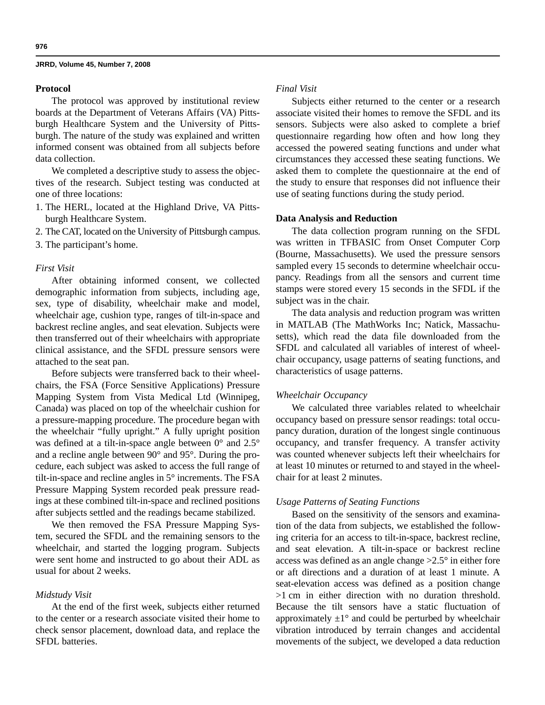### **Protocol**

The protocol was approved by institutional review boards at the Department of Veterans Affairs (VA) Pittsburgh Healthcare System and the University of Pittsburgh. The nature of the study was explained and written informed consent was obtained from all subjects before data collection.

We completed a descriptive study to assess the objectives of the research. Subject testing was conducted at one of three locations:

- 1. The HERL, located at the Highland Drive, VA Pittsburgh Healthcare System.
- 2. The CAT, located on the University of Pittsburgh campus.
- 3. The participant's home.

### *First Visit*

After obtaining informed consent, we collected demographic information from subjects, including age, sex, type of disability, wheelchair make and model, wheelchair age, cushion type, ranges of tilt-in-space and backrest recline angles, and seat elevation. Subjects were then transferred out of their wheelchairs with appropriate clinical assistance, and the SFDL pressure sensors were attached to the seat pan.

Before subjects were transferred back to their wheelchairs, the FSA (Force Sensitive Applications) Pressure Mapping System from Vista Medical Ltd (Winnipeg, Canada) was placed on top of the wheelchair cushion for a pressure-mapping procedure. The procedure began with the wheelchair "fully upright." A fully upright position was defined at a tilt-in-space angle between 0° and 2.5° and a recline angle between 90° and 95°. During the procedure, each subject was asked to access the full range of tilt-in-space and recline angles in 5° increments. The FSA Pressure Mapping System recorded peak pressure readings at these combined tilt-in-space and reclined positions after subjects settled and the readings became stabilized.

We then removed the FSA Pressure Mapping System, secured the SFDL and the remaining sensors to the wheelchair, and started the logging program. Subjects were sent home and instructed to go about their ADL as usual for about 2 weeks.

### *Midstudy Visit*

At the end of the first week, subjects either returned to the center or a research associate visited their home to check sensor placement, download data, and replace the SFDL batteries.

# *Final Visit*

Subjects either returned to the center or a research associate visited their homes to remove the SFDL and its sensors. Subjects were also asked to complete a brief questionnaire regarding how often and how long they accessed the powered seating functions and under what circumstances they accessed these seating functions. We asked them to complete the questionnaire at the end of the study to ensure that responses did not influence their use of seating functions during the study period.

### **Data Analysis and Reduction**

The data collection program running on the SFDL was written in TFBASIC from Onset Computer Corp (Bourne, Massachusetts). We used the pressure sensors sampled every 15 seconds to determine wheelchair occupancy. Readings from all the sensors and current time stamps were stored every 15 seconds in the SFDL if the subject was in the chair.

The data analysis and reduction program was written in MATLAB (The MathWorks Inc; Natick, Massachusetts), which read the data file downloaded from the SFDL and calculated all variables of interest of wheelchair occupancy, usage patterns of seating functions, and characteristics of usage patterns.

# *Wheelchair Occupancy*

We calculated three variables related to wheelchair occupancy based on pressure sensor readings: total occupancy duration, duration of the longest single continuous occupancy, and transfer frequency. A transfer activity was counted whenever subjects left their wheelchairs for at least 10 minutes or returned to and stayed in the wheelchair for at least 2 minutes.

### *Usage Patterns of Seating Functions*

Based on the sensitivity of the sensors and examination of the data from subjects, we established the following criteria for an access to tilt-in-space, backrest recline, and seat elevation. A tilt-in-space or backrest recline access was defined as an angle change >2.5° in either fore or aft directions and a duration of at least 1 minute. A seat-elevation access was defined as a position change >1 cm in either direction with no duration threshold. Because the tilt sensors have a static fluctuation of approximately  $\pm 1^{\circ}$  and could be perturbed by wheelchair vibration introduced by terrain changes and accidental movements of the subject, we developed a data reduction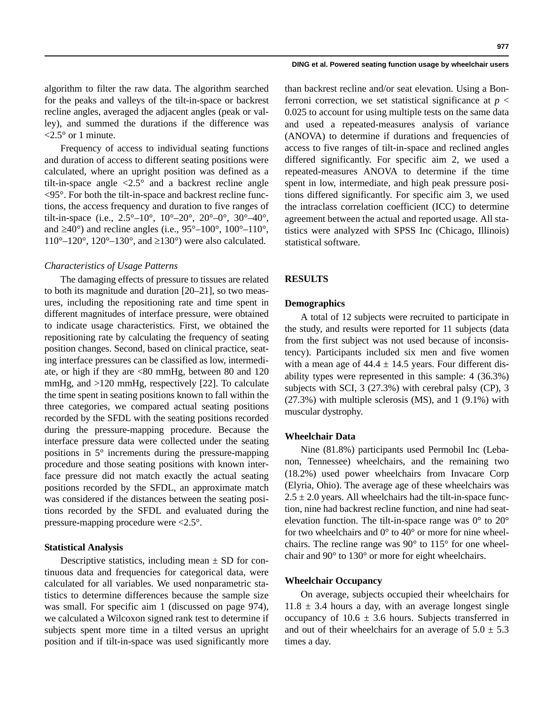#### **DING et al. Powered seating function usage by wheelchair users**

algorithm to filter the raw data. The algorithm searched for the peaks and valleys of the tilt-in-space or backrest recline angles, averaged the adjacent angles (peak or valley), and summed the durations if the difference was  $\langle 2.5^\circ \text{ or } 1 \text{ minute.}$ 

Frequency of access to individual seating functions and duration of access to different seating positions were calculated, where an upright position was defined as a tilt-in-space angle  $\langle 2.5^\circ \rangle$  and a backrest recline angle <95°. For both the tilt-in-space and backrest recline functions, the access frequency and duration to five ranges of tilt-in-space (i.e.,  $2.5^{\circ}-10^{\circ}$ ,  $10^{\circ}-20^{\circ}$ ,  $20^{\circ}-0^{\circ}$ ,  $30^{\circ}-40^{\circ}$ , and  $\geq 40^{\circ}$ ) and recline angles (i.e.,  $95^{\circ} - 100^{\circ}$ ,  $100^{\circ} - 110^{\circ}$ ,  $110^{\circ}$ – $120^{\circ}$ ,  $120^{\circ}$ – $130^{\circ}$ , and  $\geq 130^{\circ}$ ) were also calculated.

### *Characteristics of Usage Patterns*

The damaging effects of pressure to tissues are related to both its magnitude and duration [20–21], so two measures, including the repositioning rate and time spent in different magnitudes of interface pressure, were obtained to indicate usage characteristics. First, we obtained the repositioning rate by calculating the frequency of seating position changes. Second, based on clinical practice, seating interface pressures can be classified as low, intermediate, or high if they are <80 mmHg, between 80 and 120 mmHg, and >120 mmHg, respectively [22]. To calculate the time spent in seating positions known to fall within the three categories, we compared actual seating positions recorded by the SFDL with the seating positions recorded during the pressure-mapping procedure. Because the interface pressure data were collected under the seating positions in 5° increments during the pressure-mapping procedure and those seating positions with known interface pressure did not match exactly the actual seating positions recorded by the SFDL, an approximate match was considered if the distances between the seating positions recorded by the SFDL and evaluated during the pressure-mapping procedure were <2.5°.

### **Statistical Analysis**

Descriptive statistics, including mean  $\pm$  SD for continuous data and frequencies for categorical data, were calculated for all variables. We used nonparametric statistics to determine differences because the sample size was small. For specific aim 1 (discussed on page 974), we calculated a Wilcoxon signed rank test to determine if subjects spent more time in a tilted versus an upright position and if tilt-in-space was used significantly more

than backrest recline and/or seat elevation. Using a Bonferroni correction, we set statistical significance at  $p <$ 0.025 to account for using multiple tests on the same data and used a repeated-measures analysis of variance (ANOVA) to determine if durations and frequencies of access to five ranges of tilt-in-space and reclined angles differed significantly. For specific aim 2, we used a repeated-measures ANOVA to determine if the time spent in low, intermediate, and high peak pressure positions differed significantly. For specific aim 3, we used the intraclass correlation coefficient (ICC) to determine agreement between the actual and reported usage. All statistics were analyzed with SPSS Inc (Chicago, Illinois) statistical software.

# **RESULTS**

# **Demographics**

A total of 12 subjects were recruited to participate in the study, and results were reported for 11 subjects (data from the first subject was not used because of inconsistency). Participants included six men and five women with a mean age of  $44.4 \pm 14.5$  years. Four different disability types were represented in this sample: 4 (36.3%) subjects with SCI, 3 (27.3%) with cerebral palsy (CP), 3  $(27.3\%)$  with multiple sclerosis (MS), and 1  $(9.1\%)$  with muscular dystrophy.

### **Wheelchair Data**

Nine (81.8%) participants used Permobil Inc (Lebanon, Tennessee) wheelchairs, and the remaining two (18.2%) used power wheelchairs from Invacare Corp (Elyria, Ohio). The average age of these wheelchairs was  $2.5 \pm 2.0$  years. All wheelchairs had the tilt-in-space function, nine had backrest recline function, and nine had seatelevation function. The tilt-in-space range was  $0^{\circ}$  to  $20^{\circ}$ for two wheelchairs and  $0^{\circ}$  to  $40^{\circ}$  or more for nine wheelchairs. The recline range was 90° to 115° for one wheelchair and 90° to 130° or more for eight wheelchairs.

### **Wheelchair Occupancy**

On average, subjects occupied their wheelchairs for  $11.8 \pm 3.4$  hours a day, with an average longest single occupancy of  $10.6 \pm 3.6$  hours. Subjects transferred in and out of their wheelchairs for an average of  $5.0 \pm 5.3$ times a day.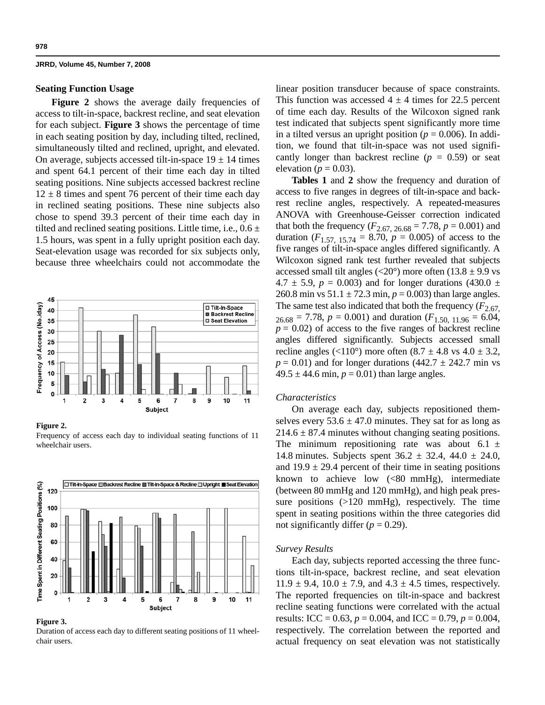### **Seating Function Usage**

Figure 2 shows the average daily frequencies of access to tilt-in-space, backrest recline, and seat elevation for each subject. **Figure 3** shows the percentage of time in each seating position by day, including tilted, reclined, simultaneously tilted and reclined, upright, and elevated. On average, subjects accessed tilt-in-space  $19 \pm 14$  times and spent 64.1 percent of their time each day in tilted seating positions. Nine subjects accessed backrest recline  $12 \pm 8$  times and spent 76 percent of their time each day in reclined seating positions. These nine subjects also chose to spend 39.3 percent of their time each day in tilted and reclined seating positions. Little time, i.e.,  $0.6 \pm$ 1.5 hours, was spent in a fully upright position each day. Seat-elevation usage was recorded for six subjects only, because three wheelchairs could not accommodate the



#### **Figure 2.**

Frequency of access each day to individual seating functions of 11 wheelchair users.



### **Figure 3.**

Duration of access each day to different seating positions of 11 wheelchair users.

linear position transducer because of space constraints. This function was accessed  $4 \pm 4$  times for 22.5 percent of time each day. Results of the Wilcoxon signed rank test indicated that subjects spent significantly more time in a tilted versus an upright position ( $p = 0.006$ ). In addition, we found that tilt-in-space was not used significantly longer than backrest recline  $(p = 0.59)$  or seat elevation ( $p = 0.03$ ).

**Tables 1** and **2** show the frequency and duration of access to five ranges in degrees of tilt-in-space and backrest recline angles, respectively. A repeated-measures ANOVA with Greenhouse-Geisser correction indicated that both the frequency ( $F_{2.67, 26.68} = 7.78$ ,  $p = 0.001$ ) and duration  $(F_{1.57, 15.74} = 8.70, p = 0.005)$  of access to the five ranges of tilt-in-space angles differed significantly. A Wilcoxon signed rank test further revealed that subjects accessed small tilt angles ( $\langle 20^\circ \rangle$ ) more often (13.8  $\pm$  9.9 vs  $4.7 \pm 5.9$ ,  $p = 0.003$ ) and for longer durations (430.0  $\pm$ 260.8 min vs  $51.1 \pm 72.3$  min,  $p = 0.003$ ) than large angles. The same test also indicated that both the frequency  $(F_{2.67})$  $_{26.68}$  = 7.78,  $p = 0.001$ ) and duration ( $F_{1.50, 11.96}$  = 6.04,  $p = 0.02$ ) of access to the five ranges of backrest recline angles differed significantly. Subjects accessed small recline angles (<110°) more often  $(8.7 \pm 4.8 \text{ vs } 4.0 \pm 3.2,$  $p = 0.01$ ) and for longer durations (442.7  $\pm$  242.7 min vs  $49.5 \pm 44.6$  min,  $p = 0.01$ ) than large angles.

### *Characteristics*

On average each day, subjects repositioned themselves every  $53.6 \pm 47.0$  minutes. They sat for as long as  $214.6 \pm 87.4$  minutes without changing seating positions. The minimum repositioning rate was about 6.1  $\pm$ 14.8 minutes. Subjects spent  $36.2 \pm 32.4$ ,  $44.0 \pm 24.0$ , and  $19.9 \pm 29.4$  percent of their time in seating positions known to achieve low  $(<80 \text{ mmHg})$ , intermediate (between 80 mmHg and 120 mmHg), and high peak pressure positions (>120 mmHg), respectively. The time spent in seating positions within the three categories did not significantly differ  $(p = 0.29)$ .

### *Survey Results*

Each day, subjects reported accessing the three functions tilt-in-space, backrest recline, and seat elevation  $11.9 \pm 9.4$ ,  $10.0 \pm 7.9$ , and  $4.3 \pm 4.5$  times, respectively. The reported frequencies on tilt-in-space and backrest recline seating functions were correlated with the actual results: ICC =  $0.63$ ,  $p = 0.004$ , and ICC =  $0.79$ ,  $p = 0.004$ , respectively. The correlation between the reported and actual frequency on seat elevation was not statistically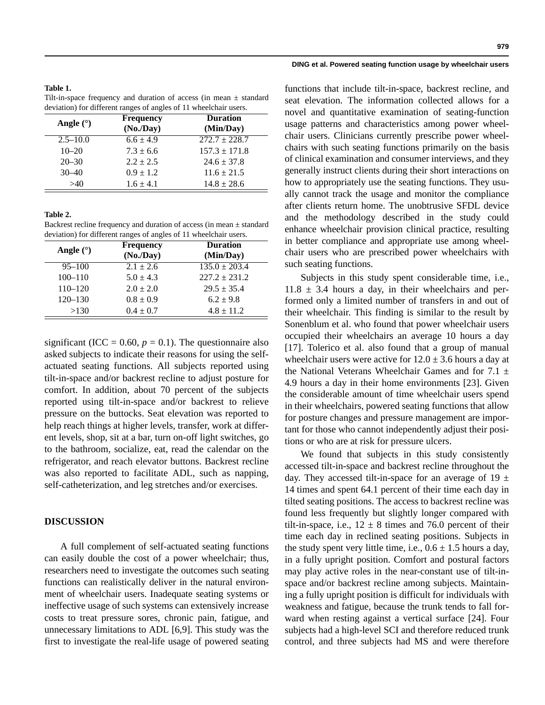### **Table 1.**

Tilt-in-space frequency and duration of access (in mean  $\pm$  standard deviation) for different ranges of angles of 11 wheelchair users.

| Angle $(°)$  | Frequency<br>$(No$ ./Day) | <b>Duration</b><br>(Min/Day) |
|--------------|---------------------------|------------------------------|
| $2.5 - 10.0$ | $6.6 \pm 4.9$             | $272.7 \pm 228.7$            |
| $10 - 20$    | $7.3 \pm 6.6$             | $157.3 \pm 171.8$            |
| $20 - 30$    | $2.2 + 2.5$               | $24.6 \pm 37.8$              |
| $30 - 40$    | $0.9 \pm 1.2$             | $11.6 \pm 21.5$              |
| >40          | $1.6 \pm 4.1$             | $14.8 \pm 28.6$              |

### **Table 2.**

Backrest recline frequency and duration of access (in mean  $\pm$  standard deviation) for different ranges of angles of 11 wheelchair users.

| Angle $(°)$ | <b>Frequency</b><br>$(No$ ./Day) | <b>Duration</b><br>(Min/Day) |
|-------------|----------------------------------|------------------------------|
| $95 - 100$  | $2.1 \pm 2.6$                    | $135.0 \pm 203.4$            |
| $100 - 110$ | $5.0 \pm 4.3$                    | $227.2 \pm 231.2$            |
| $110 - 120$ | $2.0 \pm 2.0$                    | $29.5 \pm 35.4$              |
| $120 - 130$ | $0.8 \pm 0.9$                    | $6.2 \pm 9.8$                |
| >130        | $0.4 \pm 0.7$                    | $4.8 \pm 11.2$               |

significant (ICC =  $0.60$ ,  $p = 0.1$ ). The questionnaire also asked subjects to indicate their reasons for using the selfactuated seating functions. All subjects reported using tilt-in-space and/or backrest recline to adjust posture for comfort. In addition, about 70 percent of the subjects reported using tilt-in-space and/or backrest to relieve pressure on the buttocks. Seat elevation was reported to help reach things at higher levels, transfer, work at different levels, shop, sit at a bar, turn on-off light switches, go to the bathroom, socialize, eat, read the calendar on the refrigerator, and reach elevator buttons. Backrest recline was also reported to facilitate ADL, such as napping, self-catheterization, and leg stretches and/or exercises.

### **DISCUSSION**

A full complement of self-actuated seating functions can easily double the cost of a power wheelchair; thus, researchers need to investigate the outcomes such seating functions can realistically deliver in the natural environment of wheelchair users. Inadequate seating systems or ineffective usage of such systems can extensively increase costs to treat pressure sores, chronic pain, fatigue, and unnecessary limitations to ADL [6,9]. This study was the first to investigate the real-life usage of powered seating

### **DING et al. Powered seating function usage by wheelchair users**

functions that include tilt-in-space, backrest recline, and seat elevation. The information collected allows for a novel and quantitative examination of seating-function usage patterns and characteristics among power wheelchair users. Clinicians currently prescribe power wheelchairs with such seating functions primarily on the basis of clinical examination and consumer interviews, and they generally instruct clients during their short interactions on how to appropriately use the seating functions. They usually cannot track the usage and monitor the compliance after clients return home. The unobtrusive SFDL device and the methodology described in the study could enhance wheelchair provision clinical practice, resulting in better compliance and appropriate use among wheelchair users who are prescribed power wheelchairs with such seating functions.

Subjects in this study spent considerable time, i.e.,  $11.8 \pm 3.4$  hours a day, in their wheelchairs and performed only a limited number of transfers in and out of their wheelchair. This finding is similar to the result by Sonenblum et al. who found that power wheelchair users occupied their wheelchairs an average 10 hours a day [17]. Tolerico et al. also found that a group of manual wheelchair users were active for  $12.0 \pm 3.6$  hours a day at the National Veterans Wheelchair Games and for  $7.1 \pm$ 4.9 hours a day in their home environments [23]. Given the considerable amount of time wheelchair users spend in their wheelchairs, powered seating functions that allow for posture changes and pressure management are important for those who cannot independently adjust their positions or who are at risk for pressure ulcers.

We found that subjects in this study consistently accessed tilt-in-space and backrest recline throughout the day. They accessed tilt-in-space for an average of 19  $\pm$ 14 times and spent 64.1 percent of their time each day in tilted seating positions. The access to backrest recline was found less frequently but slightly longer compared with tilt-in-space, i.e.,  $12 \pm 8$  times and 76.0 percent of their time each day in reclined seating positions. Subjects in the study spent very little time, i.e.,  $0.6 \pm 1.5$  hours a day, in a fully upright position. Comfort and postural factors may play active roles in the near-constant use of tilt-inspace and/or backrest recline among subjects. Maintaining a fully upright position is difficult for individuals with weakness and fatigue, because the trunk tends to fall forward when resting against a vertical surface [24]. Four subjects had a high-level SCI and therefore reduced trunk control, and three subjects had MS and were therefore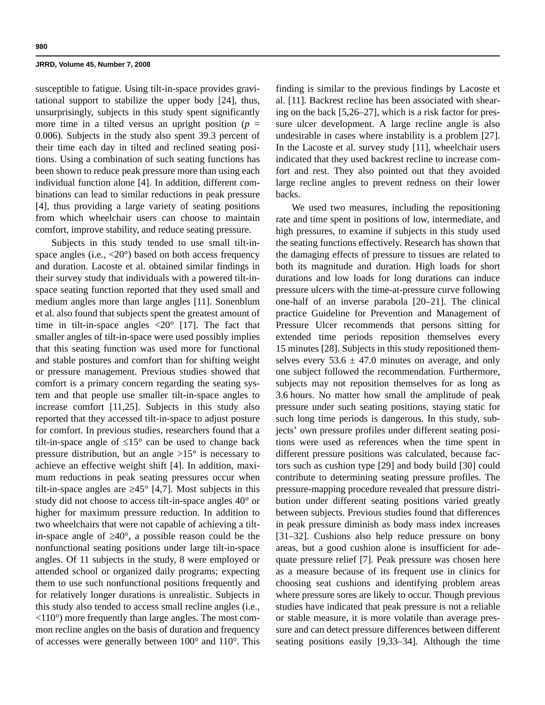susceptible to fatigue. Using tilt-in-space provides gravitational support to stabilize the upper body [24], thus, unsurprisingly, subjects in this study spent significantly more time in a tilted versus an upright position ( $p =$ 0.006). Subjects in the study also spent 39.3 percent of their time each day in tilted and reclined seating positions. Using a combination of such seating functions has been shown to reduce peak pressure more than using each individual function alone [4]. In addition, different combinations can lead to similar reductions in peak pressure [4], thus providing a large variety of seating positions from which wheelchair users can choose to maintain comfort, improve stability, and reduce seating pressure.

Subjects in this study tended to use small tilt-inspace angles (i.e., <20°) based on both access frequency and duration. Lacoste et al. obtained similar findings in their survey study that individuals with a powered tilt-inspace seating function reported that they used small and medium angles more than large angles [11]. Sonenblum et al. also found that subjects spent the greatest amount of time in tilt-in-space angles  $\langle 20^\circ \rangle$  [17]. The fact that smaller angles of tilt-in-space were used possibly implies that this seating function was used more for functional and stable postures and comfort than for shifting weight or pressure management. Previous studies showed that comfort is a primary concern regarding the seating system and that people use smaller tilt-in-space angles to increase comfort [11,25]. Subjects in this study also reported that they accessed tilt-in-space to adjust posture for comfort. In previous studies, researchers found that a tilt-in-space angle of  $\leq 15^{\circ}$  can be used to change back pressure distribution, but an angle  $>15^{\circ}$  is necessary to achieve an effective weight shift [4]. In addition, maximum reductions in peak seating pressures occur when tilt-in-space angles are  $\geq 45^{\circ}$  [4,7]. Most subjects in this study did not choose to access tilt-in-space angles 40° or higher for maximum pressure reduction. In addition to two wheelchairs that were not capable of achieving a tiltin-space angle of ≥40°, a possible reason could be the nonfunctional seating positions under large tilt-in-space angles. Of 11 subjects in the study, 8 were employed or attended school or organized daily programs; expecting them to use such nonfunctional positions frequently and for relatively longer durations is unrealistic. Subjects in this study also tended to access small recline angles (i.e.,  $\langle 110^\circ \rangle$  more frequently than large angles. The most common recline angles on the basis of duration and frequency of accesses were generally between 100° and 110°. This finding is similar to the previous findings by Lacoste et al. [11]. Backrest recline has been associated with shearing on the back [5,26–27], which is a risk factor for pressure ulcer development. A large recline angle is also undesirable in cases where instability is a problem [27]. In the Lacoste et al. survey study [11], wheelchair users indicated that they used backrest recline to increase comfort and rest. They also pointed out that they avoided large recline angles to prevent redness on their lower backs.

We used two measures, including the repositioning rate and time spent in positions of low, intermediate, and high pressures, to examine if subjects in this study used the seating functions effectively. Research has shown that the damaging effects of pressure to tissues are related to both its magnitude and duration. High loads for short durations and low loads for long durations can induce pressure ulcers with the time-at-pressure curve following one-half of an inverse parabola [20–21]. The clinical practice Guideline for Prevention and Management of Pressure Ulcer recommends that persons sitting for extended time periods reposition themselves every 15 minutes [28]. Subjects in this study repositioned themselves every  $53.6 \pm 47.0$  minutes on average, and only one subject followed the recommendation. Furthermore, subjects may not reposition themselves for as long as 3.6 hours. No matter how small the amplitude of peak pressure under such seating positions, staying static for such long time periods is dangerous. In this study, subjects' own pressure profiles under different seating positions were used as references when the time spent in different pressure positions was calculated, because factors such as cushion type [29] and body build [30] could contribute to determining seating pressure profiles. The pressure-mapping procedure revealed that pressure distribution under different seating positions varied greatly between subjects. Previous studies found that differences in peak pressure diminish as body mass index increases [31–32]. Cushions also help reduce pressure on bony areas, but a good cushion alone is insufficient for adequate pressure relief [7]. Peak pressure was chosen here as a measure because of its frequent use in clinics for choosing seat cushions and identifying problem areas where pressure sores are likely to occur. Though previous studies have indicated that peak pressure is not a reliable or stable measure, it is more volatile than average pressure and can detect pressure differences between different seating positions easily [9,33–34]. Although the time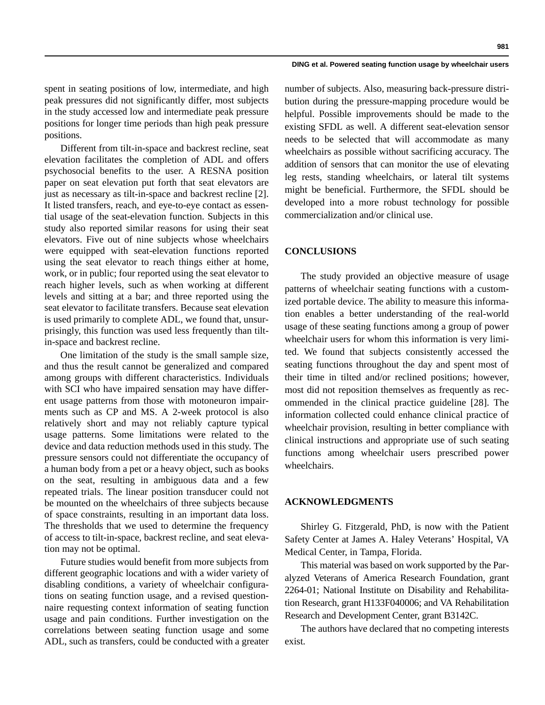### **DING et al. Powered seating function usage by wheelchair users**

spent in seating positions of low, intermediate, and high peak pressures did not significantly differ, most subjects in the study accessed low and intermediate peak pressure positions for longer time periods than high peak pressure positions.

Different from tilt-in-space and backrest recline, seat elevation facilitates the completion of ADL and offers psychosocial benefits to the user. A RESNA position paper on seat elevation put forth that seat elevators are just as necessary as tilt-in-space and backrest recline [2]. It listed transfers, reach, and eye-to-eye contact as essential usage of the seat-elevation function. Subjects in this study also reported similar reasons for using their seat elevators. Five out of nine subjects whose wheelchairs were equipped with seat-elevation functions reported using the seat elevator to reach things either at home, work, or in public; four reported using the seat elevator to reach higher levels, such as when working at different levels and sitting at a bar; and three reported using the seat elevator to facilitate transfers. Because seat elevation is used primarily to complete ADL, we found that, unsurprisingly, this function was used less frequently than tiltin-space and backrest recline.

One limitation of the study is the small sample size, and thus the result cannot be generalized and compared among groups with different characteristics. Individuals with SCI who have impaired sensation may have different usage patterns from those with motoneuron impairments such as CP and MS. A 2-week protocol is also relatively short and may not reliably capture typical usage patterns. Some limitations were related to the device and data reduction methods used in this study. The pressure sensors could not differentiate the occupancy of a human body from a pet or a heavy object, such as books on the seat, resulting in ambiguous data and a few repeated trials. The linear position transducer could not be mounted on the wheelchairs of three subjects because of space constraints, resulting in an important data loss. The thresholds that we used to determine the frequency of access to tilt-in-space, backrest recline, and seat elevation may not be optimal.

Future studies would benefit from more subjects from different geographic locations and with a wider variety of disabling conditions, a variety of wheelchair configurations on seating function usage, and a revised questionnaire requesting context information of seating function usage and pain conditions. Further investigation on the correlations between seating function usage and some ADL, such as transfers, could be conducted with a greater

number of subjects. Also, measuring back-pressure distribution during the pressure-mapping procedure would be helpful. Possible improvements should be made to the existing SFDL as well. A different seat-elevation sensor needs to be selected that will accommodate as many wheelchairs as possible without sacrificing accuracy. The addition of sensors that can monitor the use of elevating leg rests, standing wheelchairs, or lateral tilt systems might be beneficial. Furthermore, the SFDL should be developed into a more robust technology for possible commercialization and/or clinical use.

# **CONCLUSIONS**

The study provided an objective measure of usage patterns of wheelchair seating functions with a customized portable device. The ability to measure this information enables a better understanding of the real-world usage of these seating functions among a group of power wheelchair users for whom this information is very limited. We found that subjects consistently accessed the seating functions throughout the day and spent most of their time in tilted and/or reclined positions; however, most did not reposition themselves as frequently as recommended in the clinical practice guideline [28]. The information collected could enhance clinical practice of wheelchair provision, resulting in better compliance with clinical instructions and appropriate use of such seating functions among wheelchair users prescribed power wheelchairs.

# **ACKNOWLEDGMENTS**

Shirley G. Fitzgerald, PhD, is now with the Patient Safety Center at James A. Haley Veterans' Hospital, VA Medical Center, in Tampa, Florida.

This material was based on work supported by the Paralyzed Veterans of America Research Foundation, grant 2264-01; National Institute on Disability and Rehabilitation Research, grant H133F040006; and VA Rehabilitation Research and Development Center, grant B3142C.

The authors have declared that no competing interests exist.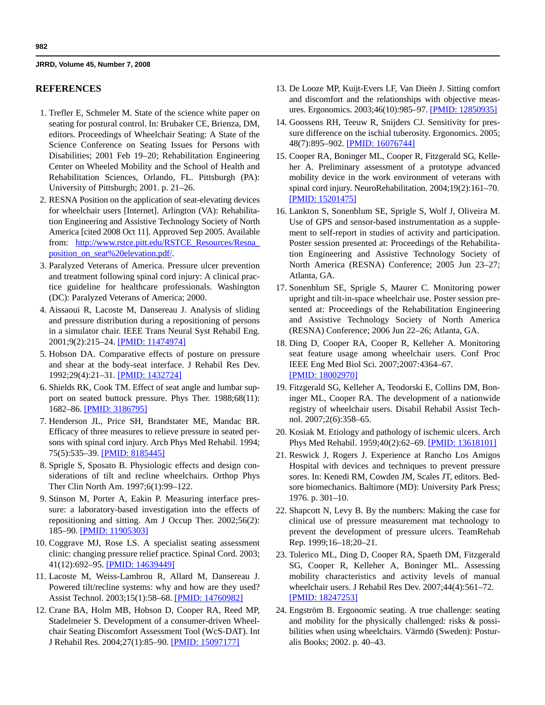# **REFERENCES**

- 1. Trefler E, Schmeler M. State of the science white paper on seating for postural control. In: Brubaker CE, Brienza, DM, editors. Proceedings of Wheelchair Seating: A State of the Science Conference on Seating Issues for Persons with Disabilities; 2001 Feb 19–20; Rehabilitation Engineering Center on Wheeled Mobility and the School of Health and Rehabilitation Sciences, Orlando, FL. Pittsburgh (PA): University of Pittsburgh; 2001. p. 21–26.
- 2. RESNA Position on the application of seat-elevating devices for wheelchair users [Internet]. Arlington (VA): Rehabilitation Engineering and Assistive Technology Society of North America [cited 2008 Oct 11]. Approved Sep 2005. Available from: http://www.rstce.pitt.edu/RSTCE\_Resources/Resna\_ position\_on\_seat%20elevation.pdf/.
- 3. Paralyzed Veterans of America. Pressure ulcer prevention and treatment following spinal cord injury: A clinical practice guideline for healthcare professionals. Washington (DC): Paralyzed Veterans of America; 2000.
- 4. Aissaoui R, Lacoste M, Dansereau J. Analysis of sliding and pressure distribution during a repositioning of persons in a simulator chair. IEEE Trans Neural Syst Rehabil Eng. 2001;9(2):215–24. [\[PMID: 11474974\]](http://www.ncbi.nlm.nih.gov/pubmed/11474974)
- 5. Hobson DA. Comparative effects of posture on pressure and shear at the body-seat interface. J Rehabil Res Dev. 1992;29(4):21–31. [\[PMID: 1432724\]](http://www.ncbi.nlm.nih.gov/pubmed/1432724)
- 6. Shields RK, Cook TM. Effect of seat angle and lumbar support on seated buttock pressure. Phys Ther. 1988;68(11): 1682–86. [\[PMID: 3186795\]](http://www.ncbi.nlm.nih.gov/pubmed/3186795)
- 7. Henderson JL, Price SH, Brandstater ME, Mandac BR. Efficacy of three measures to relieve pressure in seated persons with spinal cord injury. Arch Phys Med Rehabil. 1994; 75(5):535–39. [\[PMID: 8185445\]](http://www.ncbi.nlm.nih.gov/pubmed/8185445)
- 8. Sprigle S, Sposato B. Physiologic effects and design considerations of tilt and recline wheelchairs. Orthop Phys Ther Clin North Am. 1997;6(1):99–122.
- 9. Stinson M, Porter A, Eakin P. Measuring interface pressure: a laboratory-based investigation into the effects of repositioning and sitting. Am J Occup Ther. 2002;56(2): 185–90. [\[PMID: 11905303\]](http://www.ncbi.nlm.nih.gov/pubmed/11905303)
- 10. Coggrave MJ, Rose LS. A specialist seating assessment clinic: changing pressure relief practice. Spinal Cord. 2003; 41(12):692–95. [\[PMID: 14639449\]](http://www.ncbi.nlm.nih.gov/pubmed/14639449)
- 11. Lacoste M, Weiss-Lambrou R, Allard M, Dansereau J. Powered tilt/recline systems: why and how are they used? Assist Technol. 2003;15(1):58–68. [\[PMID: 14760982\]](http://www.ncbi.nlm.nih.gov/pubmed/14760982)
- 12. Crane BA, Holm MB, Hobson D, Cooper RA, Reed MP, Stadelmeier S. Development of a consumer-driven Wheelchair Seating Discomfort Assessment Tool (WcS-DAT). Int J Rehabil Res. 2004;27(1):85-90. [\[PMID: 15097177\]](http://www.ncbi.nlm.nih.gov/pubmed/15097177)
- 13. De Looze MP, Kuijt-Evers LF, Van Dieën J. Sitting comfort and discomfort and the relationships with objective measures. Ergonomics. 2003;46(10):985–97. [\[PMID: 12850935\]](http://www.ncbi.nlm.nih.gov/pubmed/12850935)
- 14. Goossens RH, Teeuw R, Snijders CJ. Sensitivity for pressure difference on the ischial tuberosity. Ergonomics. 2005; 48(7):895–902. [\[PMID: 16076744\]](http://www.ncbi.nlm.nih.gov/pubmed/16076744)
- 15. Cooper RA, Boninger ML, Cooper R, Fitzgerald SG, Kelleher A. Preliminary assessment of a prototype advanced mobility device in the work environment of veterans with spinal cord injury. NeuroRehabilitation. 2004;19(2):161–70. [\[PMID: 15201475\]](http://www.ncbi.nlm.nih.gov/pubmed/15201475)
- 16. Lankton S, Sonenblum SE, Sprigle S, Wolf J, Oliveira M. Use of GPS and sensor-based instrumentation as a supplement to self-report in studies of activity and participation. Poster session presented at: Proceedings of the Rehabilitation Engineering and Assistive Technology Society of North America (RESNA) Conference; 2005 Jun 23–27; Atlanta, GA.
- 17. Sonenblum SE, Sprigle S, Maurer C. Monitoring power upright and tilt-in-space wheelchair use. Poster session presented at: Proceedings of the Rehabilitation Engineering and Assistive Technology Society of North America (RESNA) Conference; 2006 Jun 22–26; Atlanta, GA.
- 18. Ding D, Cooper RA, Cooper R, Kelleher A. Monitoring seat feature usage among wheelchair users. Conf Proc IEEE Eng Med Biol Sci. 2007;2007:4364–67. [\[PMID: 18002970\]](http://www.ncbi.nlm.nih.gov/pubmed/18002970)
- 19. Fitzgerald SG, Kelleher A, Teodorski E, Collins DM, Boninger ML, Cooper RA. The development of a nationwide registry of wheelchair users. Disabil Rehabil Assist Technol. 2007;2(6):358–65.
- 20. Kosiak M. Etiology and pathology of ischemic ulcers. Arch Phys Med Rehabil. 1959;40(2):62–69. [\[PMID: 13618101\]](http://www.ncbi.nlm.nih.gov/pubmed/13618101)
- 21. Reswick J, Rogers J. Experience at Rancho Los Amigos Hospital with devices and techniques to prevent pressure sores. In: Kenedi RM, Cowden JM, Scales JT, editors. Bedsore biomechanics. Baltimore (MD): University Park Press; 1976. p. 301–10.
- 22. Shapcott N, Levy B. By the numbers: Making the case for clinical use of pressure measurement mat technology to prevent the development of pressure ulcers. TeamRehab Rep. 1999;16–18;20–21.
- 23. Tolerico ML, Ding D, Cooper RA, Spaeth DM, Fitzgerald SG, Cooper R, Kelleher A, Boninger ML. Assessing mobility characteristics and activity levels of manual wheelchair users. J Rehabil Res Dev. 2007;44(4):561–72. [\[PMID: 18247253\]](http://www.ncbi.nlm.nih.gov/pubmed/18247253)
- 24. Engström B. Ergonomic seating. A true challenge: seating and mobility for the physically challenged: risks & possibilities when using wheelchairs. Värmdö (Sweden): Posturalis Books; 2002. p. 40–43.